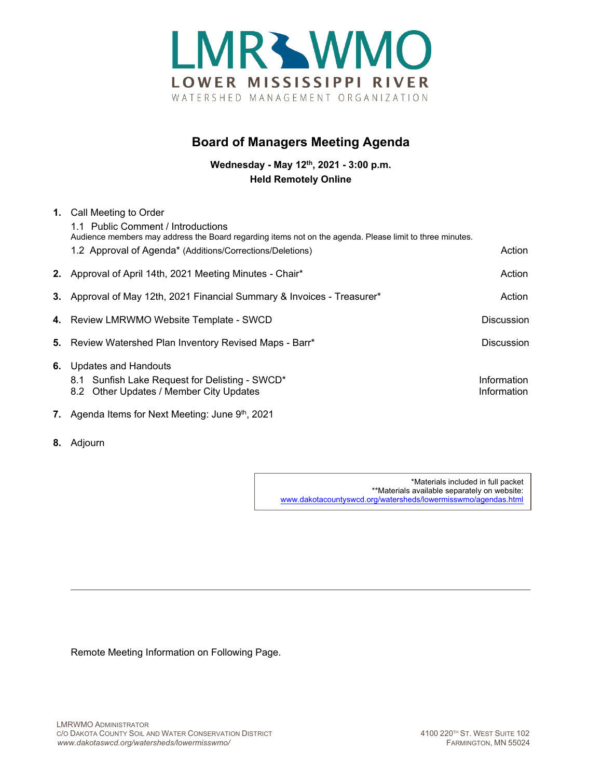

## **Board of Managers Meeting Agenda**

**Wednesday - May 12th, 2021 - 3:00 p.m. Held Remotely Online**

| 1. | Call Meeting to Order<br>1.1 Public Comment / Introductions<br>Audience members may address the Board regarding items not on the agenda. Please limit to three minutes. |                            |
|----|-------------------------------------------------------------------------------------------------------------------------------------------------------------------------|----------------------------|
|    | 1.2 Approval of Agenda* (Additions/Corrections/Deletions)                                                                                                               | Action                     |
|    | 2. Approval of April 14th, 2021 Meeting Minutes - Chair*                                                                                                                | Action                     |
|    | 3. Approval of May 12th, 2021 Financial Summary & Invoices - Treasurer*                                                                                                 | Action                     |
|    | 4. Review LMRWMO Website Template - SWCD                                                                                                                                | <b>Discussion</b>          |
|    | 5. Review Watershed Plan Inventory Revised Maps - Barr*                                                                                                                 | <b>Discussion</b>          |
| 6. | <b>Updates and Handouts</b><br>8.1 Sunfish Lake Request for Delisting - SWCD*<br>8.2 Other Updates / Member City Updates                                                | Information<br>Information |
|    | 7. Agenda Items for Next Meeting: June 9th, 2021                                                                                                                        |                            |

- 
- **8.** Adjourn

\*Materials included in full packet \*\*Materials available separately on website: [www.dakotacountyswcd.org/watersheds/lowermisswmo/agendas.html](http://www.dakotacountyswcd.org/watersheds/lowermisswmo/agendas.html)

Remote Meeting Information on Following Page.